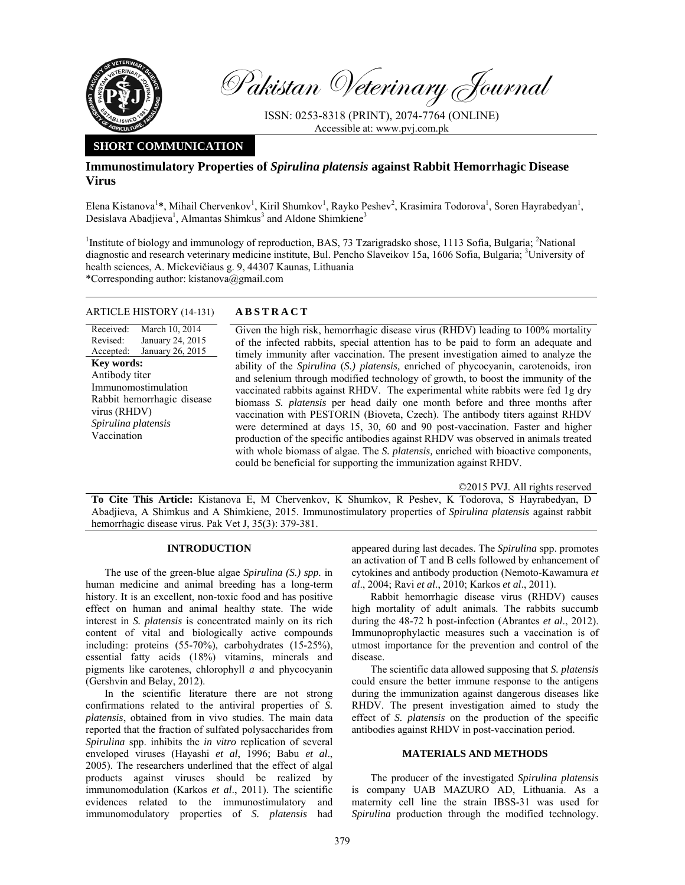

Pakistan Veterinary Journal

ISSN: 0253-8318 (PRINT), 2074-7764 (ONLINE) Accessible at: www.pvj.com.pk

## **SHORT COMMUNICATION**

# **Immunostimulatory Properties of** *Spirulina platensis* **against Rabbit Hemorrhagic Disease Virus**

Elena Kistanova<sup>1</sup>\*, Mihail Chervenkov<sup>1</sup>, Kiril Shumkov<sup>1</sup>, Rayko Peshev<sup>2</sup>, Krasimira Todorova<sup>1</sup>, Soren Hayrabedyan<sup>1</sup>, Desislava Abadjieva<sup>1</sup>, Almantas Shimkus<sup>3</sup> and Aldone Shimkiene<sup>3</sup>

<sup>1</sup>Institute of biology and immunology of reproduction, BAS, 73 Tzarigradsko shose, 1113 Sofia, Bulgaria; <sup>2</sup>National diagnostic and research veterinary medicine institute, Bul. Pencho Slaveikov 15a, 1606 Sofia, Bulgaria; <sup>3</sup>University of health sciences, A. Mickevičiaus g. 9, 44307 Kaunas, Lithuania

\*Corresponding author: kistanova@gmail.com

## ARTICLE HISTORY (14-131) **ABSTRACT**

Received: Revised: Accepted: March 10, 2014 January 24, 2015 January 26, 2015 **Key words:**  Antibody titer Immunomostimulation Rabbit hemorrhagic disease virus (RHDV) *Spirulina platensis*  Vaccination

 Given the high risk, hemorrhagic disease virus (RHDV) leading to 100% mortality of the infected rabbits, special attention has to be paid to form an adequate and timely immunity after vaccination. The present investigation aimed to analyze the ability of the *Spirulina* (*S.) platensis,* enriched of phycocyanin, carotenoids, iron and selenium through modified technology of growth, to boost the immunity of the vaccinated rabbits against RHDV. The experimental white rabbits were fed 1g dry biomass *S. platensis* per head daily one month before and three months after vaccination with PESTORIN (Bioveta, Czech). The antibody titers against RHDV were determined at days 15, 30, 60 and 90 post-vaccination. Faster and higher production of the specific antibodies against RHDV was observed in animals treated with whole biomass of algae. The *S. platensis,* enriched with bioactive components, could be beneficial for supporting the immunization against RHDV.

©2015 PVJ. All rights reserved

**To Cite This Article:** Kistanova E, M Chervenkov, K Shumkov, R Peshev, K Todorova, S Hayrabedyan, D Abadjieva, A Shimkus and A Shimkiene, 2015. Immunostimulatory properties of *Spirulina platensis* against rabbit hemorrhagic disease virus. Pak Vet J, 35(3): 379-381.

### **INTRODUCTION**

The use of the green-blue algae *Spirulina (S.) spp.* in human medicine and animal breeding has a long-term history. It is an excellent, non-toxic food and has positive effect on human and animal healthy state. The wide interest in *S. platensis* is concentrated mainly on its rich content of vital and biologically active compounds including: proteins (55-70%), carbohydrates (15-25%), essential fatty acids (18%) vitamins, minerals and pigments like carotenes, chlorophyll *a* and phycocyanin (Gershvin and Belay, 2012).

In the scientific literature there are not strong confirmations related to the antiviral properties of *S. platensis*, obtained from in vivo studies. The main data reported that the fraction of sulfated polysaccharides from *Spirulina* spp. inhibits the *in vitro* replication of several enveloped viruses (Hayashi *et al*, 1996; Babu *et al*., 2005). The researchers underlined that the effect of algal products against viruses should be realized by immunomodulation (Karkos *et al*., 2011). The scientific evidences related to the immunostimulatory and immunomodulatory properties of *S. platensis* had

appeared during last decades. The *Spirulina* spp. promotes an activation of T and B cells followed by enhancement of cytokines and antibody production (Nemoto-Kawamura *et al*., 2004; Ravi *et al*., 2010; Karkos *et al*., 2011).

Rabbit hemorrhagic disease virus (RHDV) causes high mortality of adult animals. The rabbits succumb during the 48-72 h post-infection (Abrantes *et al*., 2012). Immunoprophylactic measures such a vaccination is of utmost importance for the prevention and control of the disease.

The scientific data allowed supposing that *S. platensis* could ensure the better immune response to the antigens during the immunization against dangerous diseases like RHDV. The present investigation aimed to study the effect of *S. platensis* on the production of the specific antibodies against RHDV in post-vaccination period.

### **MATERIALS AND METHODS**

The producer of the investigated *Spirulina platensis* is company UAB MAZURO AD, Lithuania. As a maternity cell line the strain IBSS-31 was used for *Spirulina* production through the modified technology.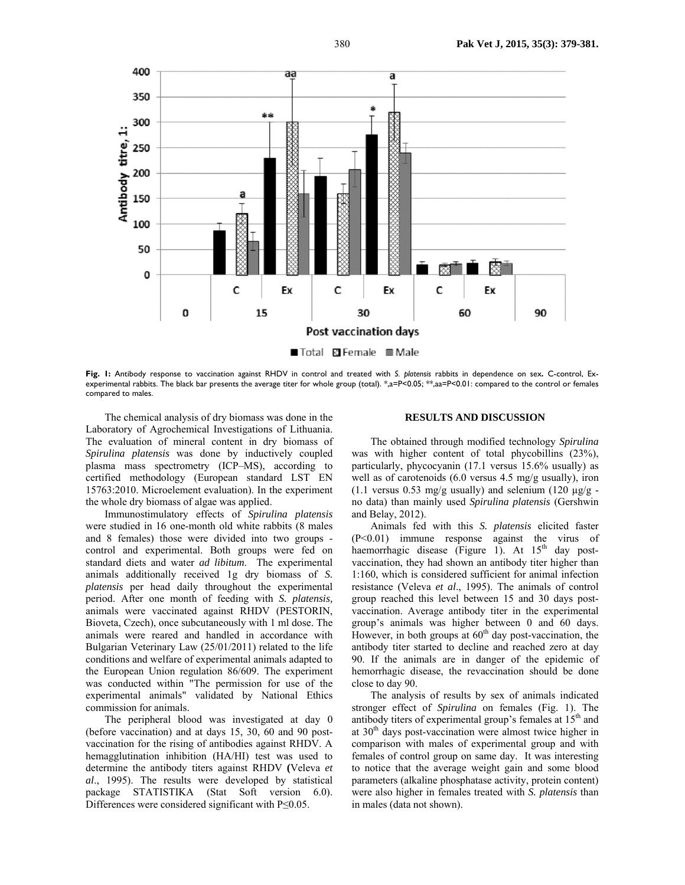

**Fig. 1:** Antibody response to vaccination against RHDV in control and treated with *S. platensis* rabbits in dependence on sex*.* C-control, Exexperimental rabbits. The black bar presents the average titer for whole group (total). \*,a=P<0.05; \*\*,aa=P<0.01: compared to the control or females compared to males.

The chemical analysis of dry biomass was done in the Laboratory of Agrochemical Investigations of Lithuania. The evaluation of mineral content in dry biomass of *Spirulina platensis* was done by inductively coupled plasma mass spectrometry (ICP–MS), according to certified methodology (European standard LST EN 15763:2010. Microelement evaluation). In the experiment the whole dry biomass of algae was applied.

Immunostimulatory effects of *Spirulina platensis*  were studied in 16 one-month old white rabbits (8 males and 8 females) those were divided into two groups control and experimental. Both groups were fed on standard diets and water *ad libitum*. The experimental animals additionally received 1g dry biomass of *S. platensis* per head daily throughout the experimental period. After one month of feeding with *S. platensis,*  animals were vaccinated against RHDV (PESTORIN, Bioveta, Czech), once subcutaneously with 1 ml dose. The animals were reared and handled in accordance with Bulgarian Veterinary Law (25/01/2011) related to the life conditions and welfare of experimental animals adapted to the European Union regulation 86/609. The experiment was conducted within "The permission for use of the experimental animals" validated by National Ethics commission for animals.

The peripheral blood was investigated at day 0 (before vaccination) and at days 15, 30, 60 and 90 postvaccination for the rising of antibodies against RHDV. A hemagglutination inhibition (HA/HI) test was used to determine the antibody titers against RHDV **(**Veleva *et al*., 1995). The results were developed by statistical package STATISTIKA (Stat Soft version 6.0). Differences were considered significant with P≤0.05.

## **RESULTS AND DISCUSSION**

The obtained through modified technology *Spirulina* was with higher content of total phycobillins (23%), particularly, phycocyanin (17.1 versus 15.6% usually) as well as of carotenoids (6.0 versus 4.5 mg/g usually), iron (1.1 versus 0.53 mg/g usually) and selenium (120  $\mu$ g/g no data) than mainly used *Spirulina platensis* (Gershwin and Belay, 2012).

Animals fed with this *S. platensis* elicited faster (P<0.01) immune response against the virus of haemorrhagic disease (Figure 1). At  $15<sup>th</sup>$  day postvaccination, they had shown an antibody titer higher than 1:160, which is considered sufficient for animal infection resistance (Veleva *et al*., 1995). The animals of control group reached this level between 15 and 30 days postvaccination. Average antibody titer in the experimental group's animals was higher between 0 and 60 days. However, in both groups at  $60<sup>th</sup>$  day post-vaccination, the antibody titer started to decline and reached zero at day 90. If the animals are in danger of the epidemic of hemorrhagic disease, the revaccination should be done close to day 90.

The analysis of results by sex of animals indicated stronger effect of *Spirulina* on females (Fig. 1). The antibody titers of experimental group's females at  $15<sup>th</sup>$  and at  $30<sup>th</sup>$  days post-vaccination were almost twice higher in comparison with males of experimental group and with females of control group on same day. It was interesting to notice that the average weight gain and some blood parameters (alkaline phosphatase activity, protein content) were also higher in females treated with *S. platensis* than in males (data not shown).